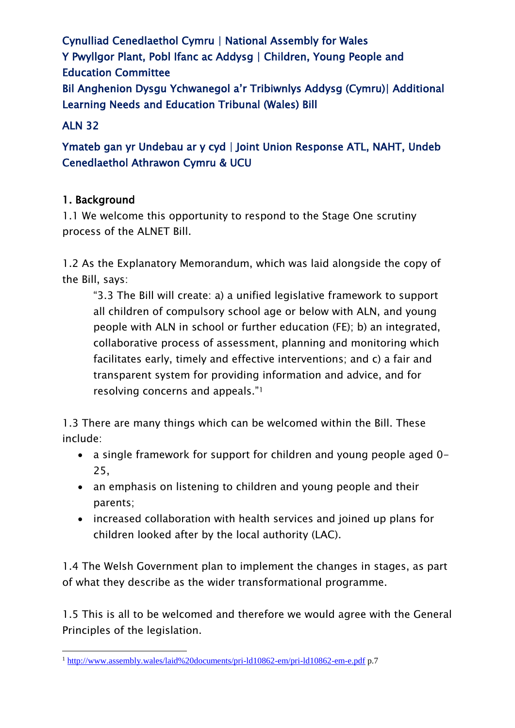Cynulliad Cenedlaethol Cymru | National Assembly for Wales Y Pwyllgor Plant, Pobl Ifanc ac Addysg | Children, Young People and Education Committee Bil Anghenion Dysgu Ychwanegol a'r Tribiwnlys Addysg (Cymru)| Additional Learning Needs and Education Tribunal (Wales) Bill

## ALN 32

Ymateb gan yr Undebau ar y cyd | Joint Union Response ATL, NAHT, Undeb Cenedlaethol Athrawon Cymru & UCU

## 1. Background

1.1 We welcome this opportunity to respond to the Stage One scrutiny process of the ALNET Bill.

1.2 As the Explanatory Memorandum, which was laid alongside the copy of the Bill, says:

"3.3 The Bill will create: a) a unified legislative framework to support all children of compulsory school age or below with ALN, and young people with ALN in school or further education (FE); b) an integrated, collaborative process of assessment, planning and monitoring which facilitates early, timely and effective interventions; and c) a fair and transparent system for providing information and advice, and for resolving concerns and appeals."<sup>1</sup>

1.3 There are many things which can be welcomed within the Bill. These include:

- a single framework for support for children and young people aged 0- 25,
- an emphasis on listening to children and young people and their parents;
- increased collaboration with health services and joined up plans for children looked after by the local authority (LAC).

1.4 The Welsh Government plan to implement the changes in stages, as part of what they describe as the wider transformational programme.

1.5 This is all to be welcomed and therefore we would agree with the General Principles of the legislation.

**<sup>.</sup>** <sup>1</sup> <http://www.assembly.wales/laid%20documents/pri-ld10862-em/pri-ld10862-em-e.pdf> p.7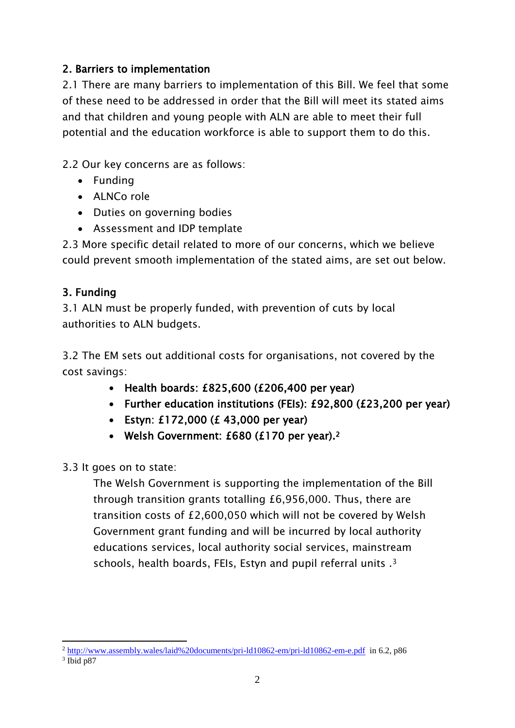## 2. Barriers to implementation

2.1 There are many barriers to implementation of this Bill. We feel that some of these need to be addressed in order that the Bill will meet its stated aims and that children and young people with ALN are able to meet their full potential and the education workforce is able to support them to do this.

2.2 Our key concerns are as follows:

- Funding
- ALNCo role
- Duties on governing bodies
- Assessment and IDP template

2.3 More specific detail related to more of our concerns, which we believe could prevent smooth implementation of the stated aims, are set out below.

# 3. Funding

3.1 ALN must be properly funded, with prevention of cuts by local authorities to ALN budgets.

3.2 The EM sets out additional costs for organisations, not covered by the cost savings:

- $\cdot$  Health boards: £825,600 (£206,400 per year)
- Further education institutions (FEIs): £92,800 (£23,200 per year)
- Estyn: £172,000 (£ 43,000 per year)
- Welsh Government: £680 (£170 per year).<sup>2</sup>
- 3.3 It goes on to state:

The Welsh Government is supporting the implementation of the Bill through transition grants totalling £6,956,000. Thus, there are transition costs of £2,600,050 which will not be covered by Welsh Government grant funding and will be incurred by local authority educations services, local authority social services, mainstream schools, health boards, FEIs, Estyn and pupil referral units .<sup>3</sup>

**<sup>.</sup>** <sup>2</sup> <http://www.assembly.wales/laid%20documents/pri-ld10862-em/pri-ld10862-em-e.pdf>in 6.2, p86

<sup>3</sup> Ibid p87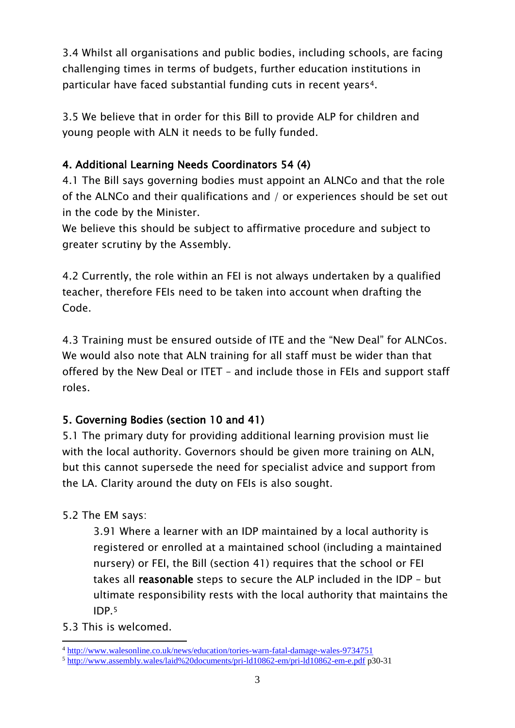3.4 Whilst all organisations and public bodies, including schools, are facing challenging times in terms of budgets, further education institutions in particular have faced substantial funding cuts in recent years4.

3.5 We believe that in order for this Bill to provide ALP for children and young people with ALN it needs to be fully funded.

# 4. Additional Learning Needs Coordinators 54 (4)

4.1 The Bill says governing bodies must appoint an ALNCo and that the role of the ALNCo and their qualifications and / or experiences should be set out in the code by the Minister.

We believe this should be subject to affirmative procedure and subject to greater scrutiny by the Assembly.

4.2 Currently, the role within an FEI is not always undertaken by a qualified teacher, therefore FEIs need to be taken into account when drafting the Code.

4.3 Training must be ensured outside of ITE and the "New Deal" for ALNCos. We would also note that ALN training for all staff must be wider than that offered by the New Deal or ITET – and include those in FEIs and support staff roles.

# 5. Governing Bodies (section 10 and 41)

5.1 The primary duty for providing additional learning provision must lie with the local authority. Governors should be given more training on ALN, but this cannot supersede the need for specialist advice and support from the LA. Clarity around the duty on FEIs is also sought.

# 5.2 The EM says:

3.91 Where a learner with an IDP maintained by a local authority is registered or enrolled at a maintained school (including a maintained nursery) or FEI, the Bill (section 41) requires that the school or FEI takes all reasonable steps to secure the ALP included in the IDP – but ultimate responsibility rests with the local authority that maintains the IDP.<sup>5</sup>

5.3 This is welcomed.

**<sup>.</sup>** <sup>4</sup> <http://www.walesonline.co.uk/news/education/tories-warn-fatal-damage-wales-9734751>

<sup>5</sup> <http://www.assembly.wales/laid%20documents/pri-ld10862-em/pri-ld10862-em-e.pdf> p30-31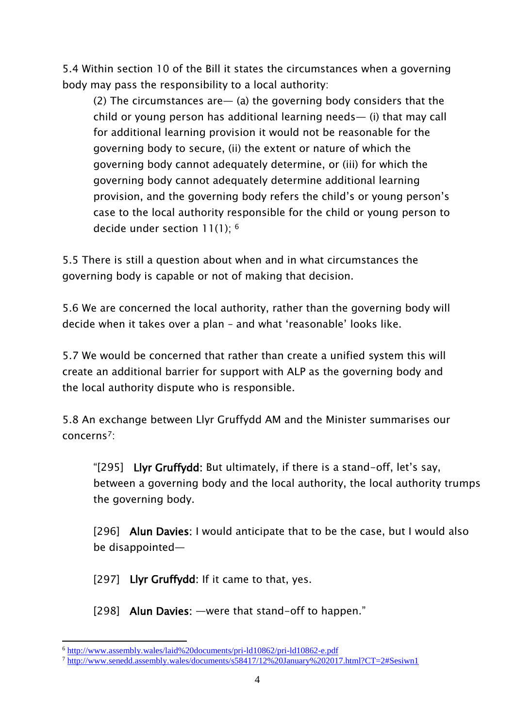5.4 Within section 10 of the Bill it states the circumstances when a governing body may pass the responsibility to a local authority:

(2) The circumstances are— (a) the governing body considers that the child or young person has additional learning needs— (i) that may call for additional learning provision it would not be reasonable for the governing body to secure, (ii) the extent or nature of which the governing body cannot adequately determine, or (iii) for which the governing body cannot adequately determine additional learning provision, and the governing body refers the child's or young person's case to the local authority responsible for the child or young person to decide under section 11(1); <sup>6</sup>

5.5 There is still a question about when and in what circumstances the governing body is capable or not of making that decision.

5.6 We are concerned the local authority, rather than the governing body will decide when it takes over a plan – and what 'reasonable' looks like.

5.7 We would be concerned that rather than create a unified system this will create an additional barrier for support with ALP as the governing body and the local authority dispute who is responsible.

5.8 An exchange between Llyr Gruffydd AM and the Minister summarises our concerns7:

"[295] Llyr Gruffydd: But ultimately, if there is a stand-off, let's say, between a governing body and the local authority, the local authority trumps the governing body.

[296] Alun Davies: I would anticipate that to be the case, but I would also be disappointed—

[297] Llyr Gruffydd: If it came to that, yes.

[298] Alun Davies: —were that stand-off to happen."

**<sup>.</sup>** <sup>6</sup> <http://www.assembly.wales/laid%20documents/pri-ld10862/pri-ld10862-e.pdf>

<sup>7</sup> <http://www.senedd.assembly.wales/documents/s58417/12%20January%202017.html?CT=2#Sesiwn1>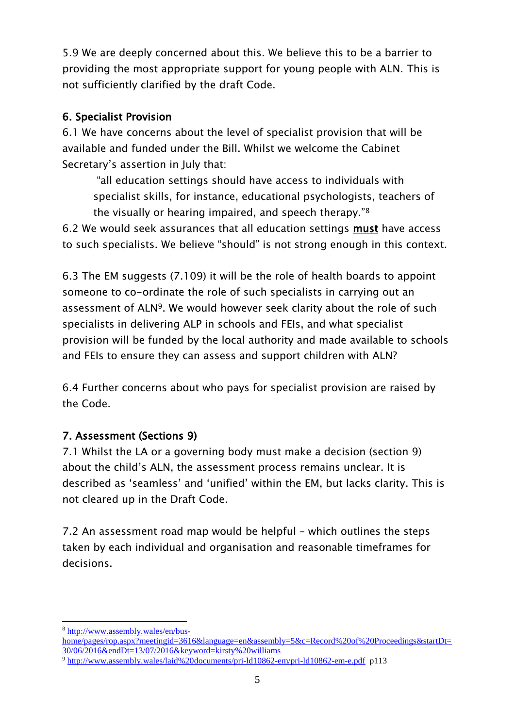5.9 We are deeply concerned about this. We believe this to be a barrier to providing the most appropriate support for young people with ALN. This is not sufficiently clarified by the draft Code.

## 6. Specialist Provision

6.1 We have concerns about the level of specialist provision that will be available and funded under the Bill. Whilst we welcome the Cabinet Secretary's assertion in July that:

"all education settings should have access to individuals with specialist skills, for instance, educational psychologists, teachers of the visually or hearing impaired, and speech therapy."<sup>8</sup>

6.2 We would seek assurances that all education settings must have access to such specialists. We believe "should" is not strong enough in this context.

6.3 The EM suggests (7.109) it will be the role of health boards to appoint someone to co-ordinate the role of such specialists in carrying out an assessment of ALN9. We would however seek clarity about the role of such specialists in delivering ALP in schools and FEIs, and what specialist provision will be funded by the local authority and made available to schools and FEIs to ensure they can assess and support children with ALN?

6.4 Further concerns about who pays for specialist provision are raised by the Code.

# 7. Assessment (Sections 9)

7.1 Whilst the LA or a governing body must make a decision (section 9) about the child's ALN, the assessment process remains unclear. It is described as 'seamless' and 'unified' within the EM, but lacks clarity. This is not cleared up in the Draft Code.

7.2 An assessment road map would be helpful – which outlines the steps taken by each individual and organisation and reasonable timeframes for decisions.

<sup>9</sup> <http://www.assembly.wales/laid%20documents/pri-ld10862-em/pri-ld10862-em-e.pdf>p113

**<sup>.</sup>** <sup>8</sup> [http://www.assembly.wales/en/bus-](http://www.assembly.wales/en/bus-home/pages/rop.aspx?meetingid=3616&language=en&assembly=5&c=Record%20of%20Proceedings&startDt=30/06/2016&endDt=13/07/2016&keyword=kirsty%20williams)

[home/pages/rop.aspx?meetingid=3616&language=en&assembly=5&c=Record%20of%20Proceedings&startDt=](http://www.assembly.wales/en/bus-home/pages/rop.aspx?meetingid=3616&language=en&assembly=5&c=Record%20of%20Proceedings&startDt=30/06/2016&endDt=13/07/2016&keyword=kirsty%20williams) [30/06/2016&endDt=13/07/2016&keyword=kirsty%20williams](http://www.assembly.wales/en/bus-home/pages/rop.aspx?meetingid=3616&language=en&assembly=5&c=Record%20of%20Proceedings&startDt=30/06/2016&endDt=13/07/2016&keyword=kirsty%20williams)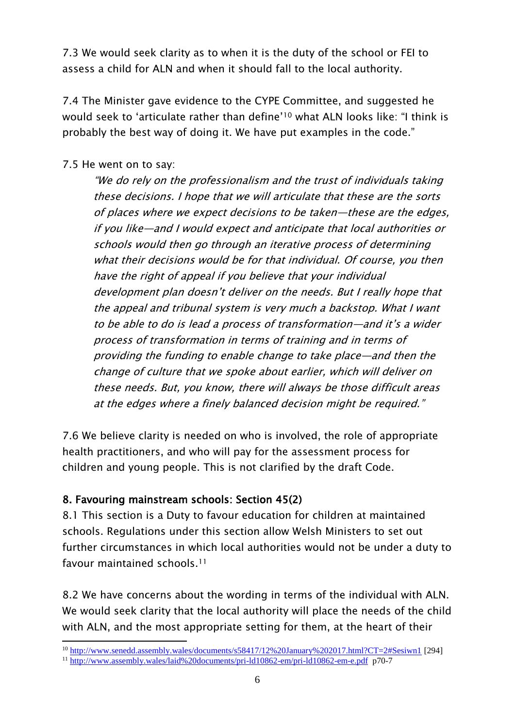7.3 We would seek clarity as to when it is the duty of the school or FEI to assess a child for ALN and when it should fall to the local authority.

7.4 The Minister gave evidence to the CYPE Committee, and suggested he would seek to 'articulate rather than define'<sup>10</sup> what ALN looks like: "I think is probably the best way of doing it. We have put examples in the code."

#### 7.5 He went on to say:

"We do rely on the professionalism and the trust of individuals taking these decisions. I hope that we will articulate that these are the sorts of places where we expect decisions to be taken—these are the edges, if you like—and I would expect and anticipate that local authorities or schools would then go through an iterative process of determining what their decisions would be for that individual. Of course, you then have the right of appeal if you believe that your individual development plan doesn't deliver on the needs. But I really hope that the appeal and tribunal system is very much a backstop. What I want to be able to do is lead a process of transformation—and it's a wider process of transformation in terms of training and in terms of providing the funding to enable change to take place—and then the change of culture that we spoke about earlier, which will deliver on these needs. But, you know, there will always be those difficult areas at the edges where a finely balanced decision might be required."

7.6 We believe clarity is needed on who is involved, the role of appropriate health practitioners, and who will pay for the assessment process for children and young people. This is not clarified by the draft Code.

#### 8. Favouring mainstream schools: Section 45(2)

8.1 This section is a Duty to favour education for children at maintained schools. Regulations under this section allow Welsh Ministers to set out further circumstances in which local authorities would not be under a duty to favour maintained schools.<sup>11</sup>

8.2 We have concerns about the wording in terms of the individual with ALN. We would seek clarity that the local authority will place the needs of the child with ALN, and the most appropriate setting for them, at the heart of their

**<sup>.</sup>** <sup>10</sup> <http://www.senedd.assembly.wales/documents/s58417/12%20January%202017.html?CT=2#Sesiwn1> [294]

<sup>11</sup> <http://www.assembly.wales/laid%20documents/pri-ld10862-em/pri-ld10862-em-e.pdf> p70-7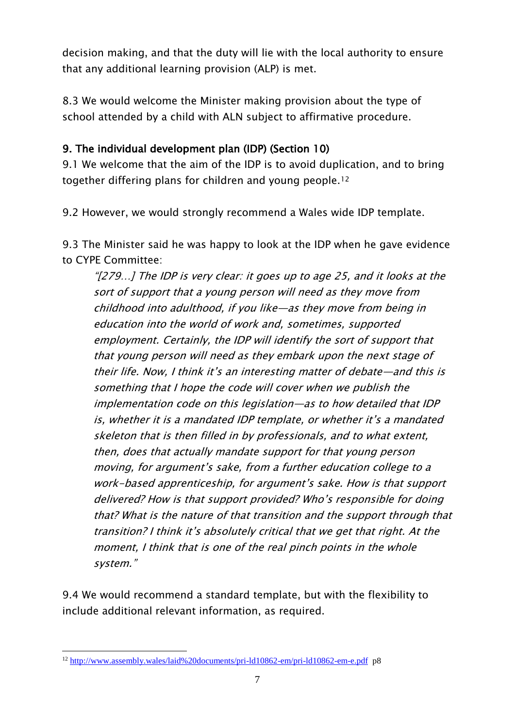decision making, and that the duty will lie with the local authority to ensure that any additional learning provision (ALP) is met.

8.3 We would welcome the Minister making provision about the type of school attended by a child with ALN subject to affirmative procedure.

## 9. The individual development plan (IDP) (Section 10)

9.1 We welcome that the aim of the IDP is to avoid duplication, and to bring together differing plans for children and young people.<sup>12</sup>

9.2 However, we would strongly recommend a Wales wide IDP template.

9.3 The Minister said he was happy to look at the IDP when he gave evidence to CYPE Committee:

"[279…] The IDP is very clear: it goes up to age 25, and it looks at the sort of support that a young person will need as they move from childhood into adulthood, if you like—as they move from being in education into the world of work and, sometimes, supported employment. Certainly, the IDP will identify the sort of support that that young person will need as they embark upon the next stage of their life. Now, I think it's an interesting matter of debate—and this is something that I hope the code will cover when we publish the implementation code on this legislation—as to how detailed that IDP is, whether it is a mandated IDP template, or whether it's a mandated skeleton that is then filled in by professionals, and to what extent, then, does that actually mandate support for that young person moving, for argument's sake, from a further education college to a work-based apprenticeship, for argument's sake. How is that support delivered? How is that support provided? Who's responsible for doing that? What is the nature of that transition and the support through that transition? I think it's absolutely critical that we get that right. At the moment, I think that is one of the real pinch points in the whole system."

9.4 We would recommend a standard template, but with the flexibility to include additional relevant information, as required.

**<sup>.</sup>** <sup>12</sup> <http://www.assembly.wales/laid%20documents/pri-ld10862-em/pri-ld10862-em-e.pdf>p8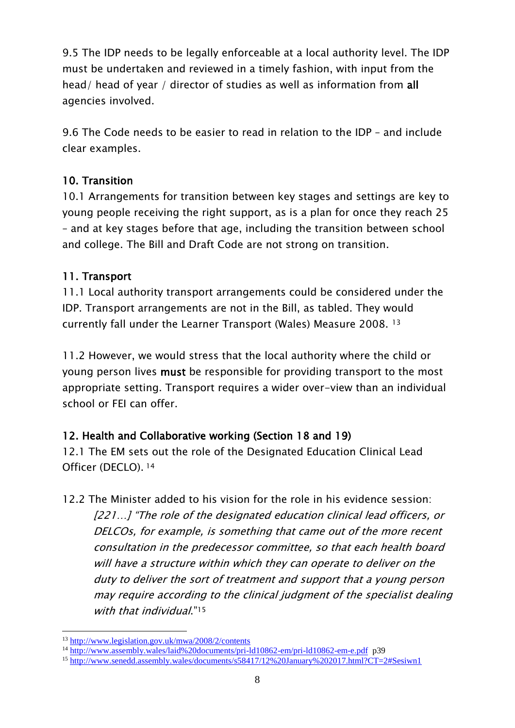9.5 The IDP needs to be legally enforceable at a local authority level. The IDP must be undertaken and reviewed in a timely fashion, with input from the head/ head of year / director of studies as well as information from all agencies involved.

9.6 The Code needs to be easier to read in relation to the IDP – and include clear examples.

### 10. Transition

10.1 Arrangements for transition between key stages and settings are key to young people receiving the right support, as is a plan for once they reach 25 – and at key stages before that age, including the transition between school and college. The Bill and Draft Code are not strong on transition.

### 11. Transport

11.1 Local authority transport arrangements could be considered under the IDP. Transport arrangements are not in the Bill, as tabled. They would currently fall under the Learner Transport (Wales) Measure 2008. <sup>13</sup>

11.2 However, we would stress that the local authority where the child or young person lives must be responsible for providing transport to the most appropriate setting. Transport requires a wider over-view than an individual school or FEI can offer.

## 12. Health and Collaborative working (Section 18 and 19)

12.1 The EM sets out the role of the Designated Education Clinical Lead Officer (DECLO). <sup>14</sup>

12.2 The Minister added to his vision for the role in his evidence session: [221...] "The role of the designated education clinical lead officers, or DELCOs, for example, is something that came out of the more recent consultation in the predecessor committee, so that each health board will have a structure within which they can operate to deliver on the duty to deliver the sort of treatment and support that a young person may require according to the clinical judgment of the specialist dealing with that individual."<sup>15</sup>

<sup>1</sup> <sup>13</sup> <http://www.legislation.gov.uk/mwa/2008/2/contents>

<sup>14</sup> <http://www.assembly.wales/laid%20documents/pri-ld10862-em/pri-ld10862-em-e.pdf>p39

<sup>15</sup> <http://www.senedd.assembly.wales/documents/s58417/12%20January%202017.html?CT=2#Sesiwn1>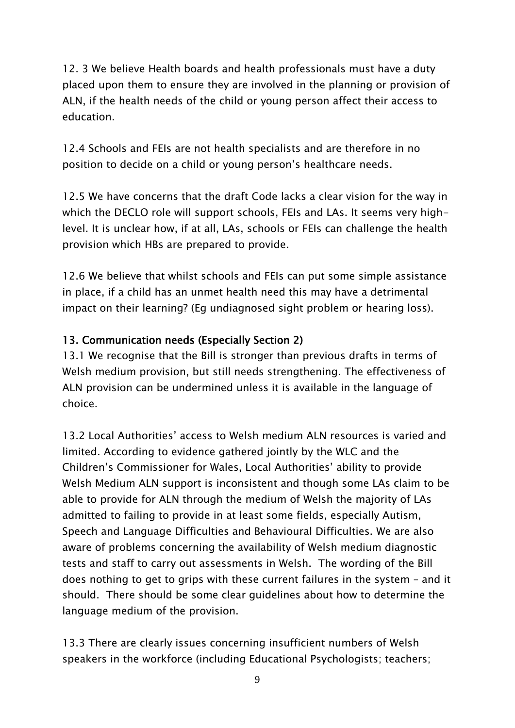12. 3 We believe Health boards and health professionals must have a duty placed upon them to ensure they are involved in the planning or provision of ALN, if the health needs of the child or young person affect their access to education.

12.4 Schools and FEIs are not health specialists and are therefore in no position to decide on a child or young person's healthcare needs.

12.5 We have concerns that the draft Code lacks a clear vision for the way in which the DECLO role will support schools, FEIs and LAs. It seems very highlevel. It is unclear how, if at all, LAs, schools or FEIs can challenge the health provision which HBs are prepared to provide.

12.6 We believe that whilst schools and FEIs can put some simple assistance in place, if a child has an unmet health need this may have a detrimental impact on their learning? (Eg undiagnosed sight problem or hearing loss).

## 13. Communication needs (Especially Section 2)

13.1 We recognise that the Bill is stronger than previous drafts in terms of Welsh medium provision, but still needs strengthening. The effectiveness of ALN provision can be undermined unless it is available in the language of choice.

13.2 Local Authorities' access to Welsh medium ALN resources is varied and limited. According to evidence gathered jointly by the WLC and the Children's Commissioner for Wales, Local Authorities' ability to provide Welsh Medium ALN support is inconsistent and though some LAs claim to be able to provide for ALN through the medium of Welsh the majority of LAs admitted to failing to provide in at least some fields, especially Autism, Speech and Language Difficulties and Behavioural Difficulties. We are also aware of problems concerning the availability of Welsh medium diagnostic tests and staff to carry out assessments in Welsh. The wording of the Bill does nothing to get to grips with these current failures in the system – and it should. There should be some clear guidelines about how to determine the language medium of the provision.

13.3 There are clearly issues concerning insufficient numbers of Welsh speakers in the workforce (including Educational Psychologists; teachers;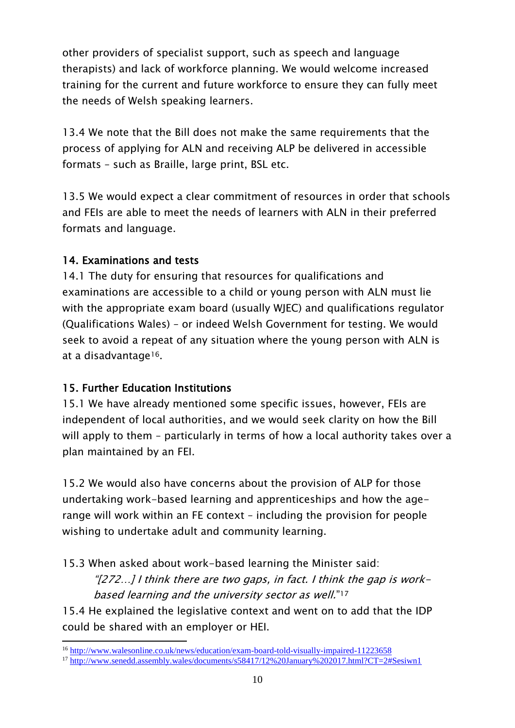other providers of specialist support, such as speech and language therapists) and lack of workforce planning. We would welcome increased training for the current and future workforce to ensure they can fully meet the needs of Welsh speaking learners.

13.4 We note that the Bill does not make the same requirements that the process of applying for ALN and receiving ALP be delivered in accessible formats – such as Braille, large print, BSL etc.

13.5 We would expect a clear commitment of resources in order that schools and FEIs are able to meet the needs of learners with ALN in their preferred formats and language.

### 14. Examinations and tests

14.1 The duty for ensuring that resources for qualifications and examinations are accessible to a child or young person with ALN must lie with the appropriate exam board (usually WJEC) and qualifications regulator (Qualifications Wales) – or indeed Welsh Government for testing. We would seek to avoid a repeat of any situation where the young person with ALN is at a disadvantage16.

## 15. Further Education Institutions

15.1 We have already mentioned some specific issues, however, FEIs are independent of local authorities, and we would seek clarity on how the Bill will apply to them – particularly in terms of how a local authority takes over a plan maintained by an FEI.

15.2 We would also have concerns about the provision of ALP for those undertaking work-based learning and apprenticeships and how the agerange will work within an FE context – including the provision for people wishing to undertake adult and community learning.

15.3 When asked about work-based learning the Minister said:

"[272...] I think there are two gaps, in fact. I think the gap is workbased learning and the university sector as well." 17

15.4 He explained the legislative context and went on to add that the IDP could be shared with an employer or HEI.

**<sup>.</sup>** <sup>16</sup> <http://www.walesonline.co.uk/news/education/exam-board-told-visually-impaired-11223658>

<sup>17</sup> <http://www.senedd.assembly.wales/documents/s58417/12%20January%202017.html?CT=2#Sesiwn1>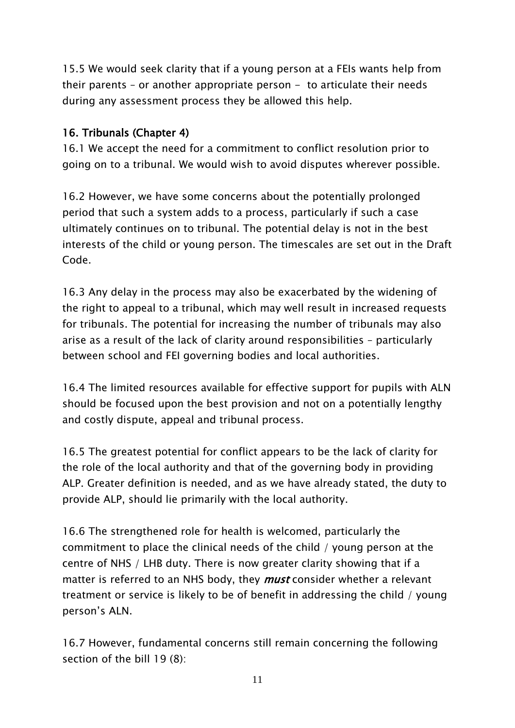15.5 We would seek clarity that if a young person at a FEIs wants help from their parents – or another appropriate person – to articulate their needs during any assessment process they be allowed this help.

## 16. Tribunals (Chapter 4)

16.1 We accept the need for a commitment to conflict resolution prior to going on to a tribunal. We would wish to avoid disputes wherever possible.

16.2 However, we have some concerns about the potentially prolonged period that such a system adds to a process, particularly if such a case ultimately continues on to tribunal. The potential delay is not in the best interests of the child or young person. The timescales are set out in the Draft Code.

16.3 Any delay in the process may also be exacerbated by the widening of the right to appeal to a tribunal, which may well result in increased requests for tribunals. The potential for increasing the number of tribunals may also arise as a result of the lack of clarity around responsibilities – particularly between school and FEI governing bodies and local authorities.

16.4 The limited resources available for effective support for pupils with ALN should be focused upon the best provision and not on a potentially lengthy and costly dispute, appeal and tribunal process.

16.5 The greatest potential for conflict appears to be the lack of clarity for the role of the local authority and that of the governing body in providing ALP. Greater definition is needed, and as we have already stated, the duty to provide ALP, should lie primarily with the local authority.

16.6 The strengthened role for health is welcomed, particularly the commitment to place the clinical needs of the child / young person at the centre of NHS / LHB duty. There is now greater clarity showing that if a matter is referred to an NHS body, they *must* consider whether a relevant treatment or service is likely to be of benefit in addressing the child / young person's ALN.

16.7 However, fundamental concerns still remain concerning the following section of the bill 19 (8):